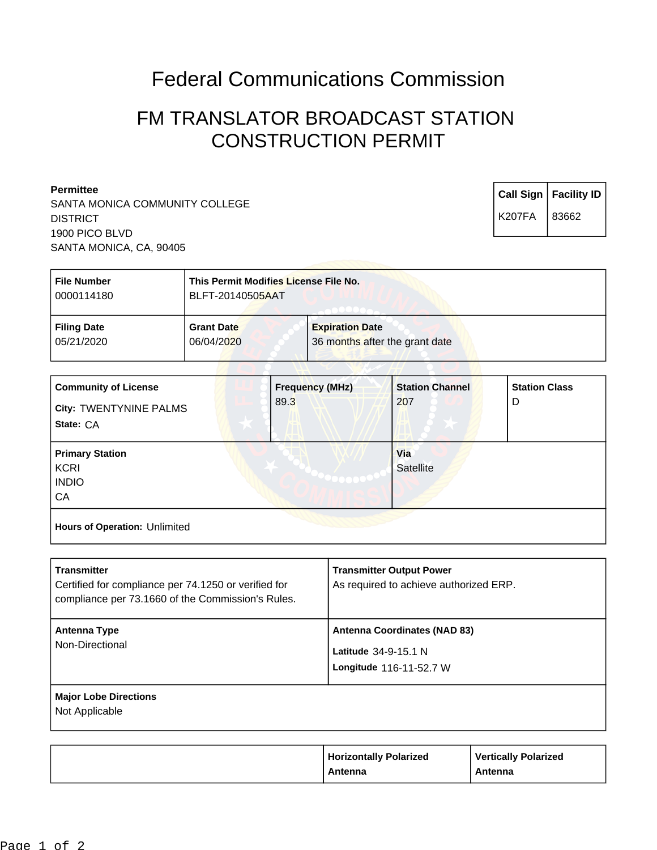# Federal Communications Commission

# FM TRANSLATOR BROADCAST STATION CONSTRUCTION PERMIT

#### **Permittee**

SANTA MONICA COMMUNITY COLLEGE **DISTRICT** 1900 PICO BLVD SANTA MONICA, CA, 90405

**Call Sign Facility ID** K207FA 83662

| <b>File Number</b> | This Permit Modifies License File No. |                                |
|--------------------|---------------------------------------|--------------------------------|
| 0000114180         | BLFT-20140505AAT                      |                                |
| <b>Filing Date</b> | <b>Grant Date</b>                     | <b>Expiration Date</b>         |
| 05/21/2020         | 06/04/2020                            | 36 months after the grant date |

| <b>Community of License</b><br>City: TWENTYNINE PALMS<br>State: CA | <b>Frequency (MHz)</b><br>89.3 | <b>Station Channel</b><br>207 | <b>Station Class</b><br>D |
|--------------------------------------------------------------------|--------------------------------|-------------------------------|---------------------------|
| <b>Primary Station</b><br><b>KCRI</b><br><b>INDIO</b><br>CA        |                                | Via<br>Satellite              |                           |
| Hours of Operation: Unlimited                                      |                                |                               |                           |

| <b>Transmitter</b><br>Certified for compliance per 74.1250 or verified for<br>compliance per 73.1660 of the Commission's Rules. | <b>Transmitter Output Power</b><br>As required to achieve authorized ERP.              |
|---------------------------------------------------------------------------------------------------------------------------------|----------------------------------------------------------------------------------------|
| Antenna Type<br>Non-Directional                                                                                                 | <b>Antenna Coordinates (NAD 83)</b><br>Latitude 34-9-15.1 N<br>Longitude 116-11-52.7 W |
| <b>Major Lobe Directions</b><br>Not Applicable                                                                                  |                                                                                        |

| <b>Horizontally Polarized</b><br>Antenna | <b>Vertically Polarized</b><br>Antenna |
|------------------------------------------|----------------------------------------|
|                                          |                                        |